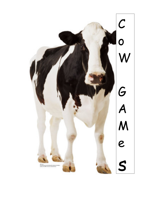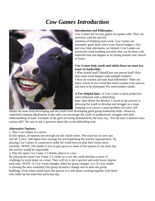## *Cow Games Introduction*



#### **Introduction and Philosophy:**

Cow Games are not just games for games sake. They are activities with the specific

intention of building team work. Cow Games are extremely great ideas when your church budget is low and your time allotments are limited. Cow Games are essentially team building activities that can be done with materials that just happen to be laying around your church or home...

#### **Cow Games help youth and adults focus on some key issues in leadership:**

• Who should lead? Should just one person lead? How does team work happen with multiple leaders?

• How do women and men lead differently? There are many voices in our world that teach women to be passive and men to be dominant! We need another model.

**A Few helpful hint**s: A Cow Game is most productive when followed with a debriefing time: (See below for details). Critical to the process is allowing the youth to develop and struggle as a team. Jumping in to correct a team problem too early will

inhibit the team from developing and the youth from developing good group leadership skills. However, sometimes making adjustments to the rules can encourage the youth to productively struggle with their understanding of team. Example: If the girls are being dominated by the boys say, "For the next 5 minutes boys cannot talk!" Be sure to ask a question about this in the debriefing time.

#### **Alternative Options:**

1. Play Cow Games in a series.

In this option, all injuries last through out the whole series. The team has to carry any and all "Cows" and adjust their strategy for accomplishing the activity appropriately. By playing Cow Games in consecutive order the youth have to plan their losses more carefully. NOTE: The leader is free to give grace to some of the injuries if one feels that the activity would be impossible.

2. Play the same Cow Game 2-3 Weeks (days) in a row.

By playing the same Cow Game 2-3 weeks in a row the youth develop a sense of challenge to work better as a team. They will try to do it quicker and with fewer injuries each time. NOTE: A Cow Game changes when the group changes. (i.e. If a key leader is missing the next week(day) the group dynamics change and so does the group building). Even when youth know the answer it is still about working together with those who make up the team that particular day.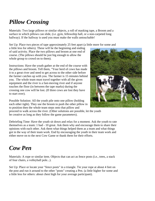# *Pillow Crossing*

Materials: Two large pillows or similar objects, a roll of masking tape, a Broom and a surface in which pillows can slide, (i.e. gym, fellowship hall, or a non-carpeted long hallway). If the hallway is used you must make the walls untouchable!

Set Up: Place two pieces of tape approximately 25 feet apart (a little more for some and

a little less for others). These will be the beginning and ending of said activity. Place the two pillows and broom at one end of course. (The pillows should be just big enough to allow the whole group to crowd on to them).

Instructions: Have the youth gather at the end of the course with the pillows and broom. Tell them, "Your herd of cows has made it to a great river and need to get across to the other side before the farmer catches up with you. The farmer is 15 minutes behind you. The whole team must travel together with all the given equipment and the river is a fast-moving river and if anyone touches the floor (in between the tape marks) during the crossing one cow will be lost. (If three cows are lost they have to start over).

Possible Solution: All the youth pile onto one pillow (holding each other tight). They use the broom to push the other pillow in to position then the whole team steps onto that pillow and



proceed to walk across the river. (Other solutions are possible, let the youth be creative as long as they follow the game parameters).

Debriefing Time: Have the youth sit down and relax for a moment. Ask the youth to rate themselves as a team: 1 bad - 10 great. Ask them why and encourage them to share their opinions with each other. Ask them what things helped them as a team and what things got in the way of their team work. End by encouraging the youth in their team work and either move on to the next Cow Game or thank them for their efforts.

#### *Cow Pen*

Materials: A rope or similar item. Objects that can act as fence posts (i.e., trees, a stack of four chairs, a volleyball pole...).

Set Up: Place or locate your "fence posts" in a triangle. Tie your rope at about 4 feet on the post and run it around to the other "posts" creating a Pen. (a little higher for some and a little less for others: about chest high for your average participant).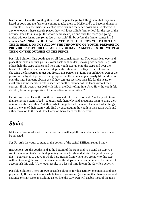Instructions: Have the youth gather inside the pen. Begin by telling them that they are a heard of cows and the farmer is coming to take them to McDonald's to become dinner in 15 minutes. They are inside an electric Cow Pen and the fence posts are also electric. If any one touches these electric places they will loose a limb (arm or leg) for the rest of the activity. Their task is to get the whole heard (team) up and over the fence (no going under) without losing any (or as few as possible) limbs before the farmer comes in 15 minutes. **WARNING: YOUTH WILL ATTEMPT TO THROW YOUTH OUT ON THEIR HEADS. DO NOT ALLOW THE THROWING OF YOUTH. PREPARE TO PROVIDE SAFETY CHECKS AND IF YOU HAVE A MATTRESS OR TWO PLACE THEM ON THE OUTSIDE OF THE FENCE.**

Possible Solution: One youth gets on all fours, making a step. Two others lean over and place their hands on first youth's lower back or shoulders, making two second steps. All others help the steps balance and help one youth step up onto the steps and over the fence. Then that person becomes a step on the others side.  $\times$  Key to the solution is choosing the last person to get out; Best if this person can jump out on his/her own or the person is the lightest person in the group so that the team can just slowly lift him/her out over the line. Someone always ask if they can just sacrifice their life for the heard or most often some members ask to sacrifice another member of the team without their consent. If this occurs just deal with this in the Debriefing time. Ask: How the youth felt about it; from the perspective of the sacrifice to the sacrificer?

Debriefing Time: Have the youth sit down and relax for a moment. Ask the youth to rate themselves as a team: 1 bad - 10 great. Ask them why and encourage them to share their opinions with each other. Ask them what things helped them as a team and what things got in the way of their team work. End by encouraging the youth in their team work and either move on to the next Cow Game or thank them for their efforts.

#### *Stairs*

Materials: You need a set of stairs! 5-7 steps with a platform works best but others can be adjusted.

Set Up: Ask the youth to stand at the bottom of the stairs! Difficult set up I know!

Instructions: As the youth stand at the bottom of the stairs and you stand on step you want them to get to (5th -7th, depending on their height and all) tell the youth exactly this: "Your task is to get your whole herd (team) from where you are now to this step without touching the walls, the banisters or the steps in between. You have 15 minutes to accomplish this task." Any touch results in a loss of limb like in the Cow Pen activity.

Possible Solution: There are two possible solutions for this activity, one mental and one physical. 1) If they decide as a whole team to go around (assuming that there is a second entrance or stair case) 2) Building a step like the Cow Pen will enable most of the team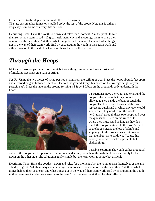to step across to the step with minimal effort. See diagram: The last person either jumps or is pulled up by the rest of the group. Note this is either a very easy Cow Game or a very difficult one.

Debriefing Time: Have the youth sit down and relax for a moment. Ask the youth to rate themselves as a team: 1 bad - 10 great. Ask them why and encourage them to share their opinions with each other. Ask them what things helped them as a team and what things got in the way of their team work. End by encouraging the youth in their team work and either move on to the next Cow Game or thank them for their efforts.

# *Through the Hoops*

Materials: Two hoops (hula Hoops work but something similar would work too), a role of masking tape and some yarn or string.

Set Up: Using the two pieces of string per hoop hang from the ceiling or tree. Place the hoops about 2 feet apart and at varied heights between 3 feet to 5 feet off the ground. (vary this based on the average height of your participants). Place the tape on the ground forming a 3 ft by 4 ft box on the ground directly underneath the hoops.



Instructions: Have the youth gather around the hoops. Inform them that they are not allowed to step inside the box, or touch the hoops. The hoops are electric and the box represents quicksand in which any cow would surely die. They need to get the whole herd "team" through these two hoops and over the quicksand. There are no rules as to where they must stand as long as they don't touch the hoops or step into the box. A touch of the hoops means the loss of a limb and stepping into the box means a lost cow and that member has to sit down. (Adjust this activity as needed--make it possible but challenging).

Possible Solution: The youth gather around all

sides of the hoops and lift person up on one side and slowly pass them through the hoops and safely let them down on the other side. The solution is fairly simple but the team work is somewhat difficult.

Debriefing Time: Have the youth sit down and relax for a moment. Ask the youth to rate themselves as a team: 1 bad - 10 great. Ask them why and encourage them to share their opinions with each other. Ask them what things helped them as a team and what things got in the way of their team work. End by encouraging the youth in their team work and either move on to the next Cow Game or thank them for their efforts.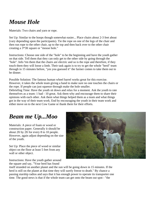## *Mouse Hole*

Materials: Two chairs and yarn or rope.

Set Up: Similar to the hoops though somewhat easier... Place chairs about 2-3 feet about (vary depending upon the participants). Tie the rope on one of the legs of the chair and then run rope to the other chair, up to the top and then back over to the other chair creating a 3\*3ft square or "mouse hole."

Instructions: Choose one side of the "hole" to be the beginning and have the youth gather on that side. Tell them that they can only get to the other side by going through the "hole". Info <sup>3</sup>rm them that the chairs are electric and so is the rope and therefore, if they touch them they will loose a limb. Their task again is to try to get the whole "herd" team through in 15 minutes before, "yes you guessed it" the farmer comes to take them out to be dinner.

Possible Solution: The famous human wheel barrel works great for this exercise. However, it takes the whole team giving a hand to make sure no one touches the chairs or the rope. If people can just squeeze through make the hole smaller.

Debriefing Time: Have the youth sit down and relax for a moment. Ask the youth to rate themselves as a team: 1 bad - 10 great. Ask them why and encourage them to share their opinions with each other. Ask them what things helped them as a team and what things got in the way of their team work. End by encouraging the youth in their team work and either move on to the next Cow Game or thank them for their efforts.

#### *Beam me Up...Moo*

Materials: A piece of foam or wood or construction paper. Generally it should be about 2ft by 2ft for every 8 to 10 people. However, again adjust depending on the size of the youth.

Set Up: Place the piece of wood or similar object on the floor at least 5 feet from any wall or other object.



Instructions: Have the youth gather around the square and say, "Your herd has found

itself stranded on another planet and the sun will be going down in 15 minutes. If the herd is still on the planet at that time they will surely freeze to death." By chance a passing starship radios and says that it has enough power to operate its transporter one time. The good news is that if the whole team can get onto the beam out spot - "the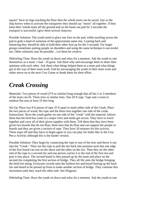square" have no legs touching the floor then the whole team can be saved. Just so the ship knows when to activate the transporter they should say "mooo" all together. If they keep their <sup>1</sup>whole team off the ground and on the beam out pad for 3 seconds the transport is successful. (give them several chances)

Possible Solution: The youth need to place one foot on the pad, while reaching across the pad to grab a hand of someone of the approximate same size. Leaning back and balancing they should be able to hold their other foot up for the 3 seconds. For larger groups sometimes putting people on shoulders and using the same technique is successful too. Other solutions may be possible... Let them be creative.

Debriefing Time: Have the youth sit down and relax for a moment. Ask the youth to rate themselves as a team: 1 bad - 10 great. Ask them why and encourage them to share their opinions with each other. Ask them what things helped them as a team and what things got in the way of their team work. End by encouraging the youth in their team work and either move on to the next Cow Game or thank them for their effort.

### *Creak Crossing*

Materials: Two pieces of wood  $(2*4 \text{ or similar})$  long enough that all but 2 or 3 members of the team can fit. Three tires or similar item. One 20 ft rope. Tape and a room or outdoor flat area at least 25 feet long.

Set Up: Place two 8 ft pieces of tape 25 ft apart to mark either side of the Creak. Place the two pieces of wood, the rope and the three tires together one side of the creak. Instructions: Have the youth gather on one side of the "creak" with the material. Inform them that the herd has come to a major river and needs get across. They have to travel together and carry all of their given supplies with them. Tell them that they have been given two boards that do not float, three tires that do float and can support the people or boards and they are given a section of rope. They have 20 minutes for this activity. Three steps off and they have to begin again or you can play for limbs like in the Cow Pen a Activity although this is the harder version.

Possible Solution: They begin by connecting the rope to one of the tires and throw it out into the "Creak." They use the rope to pull the tire back into position such that one edge of the first board can rest on the shore and the other on the tire. Then they tie the other end of the rope to a second tire and one person carries it to the end of the first tire and puts it into place. The second board is then passed up by the team and place on the second tire completing the first section of bridge. They all file onto the bridge bringing the third tire along. Everyone crowds onto the farthest tire and board freeing up the back tire and board to be passed up front to make another section of bridge. They continue this movement until they reach the other side. See Diagram:

Debriefing Time: Have the youth sit down and relax for a moment. Ask the youth to rate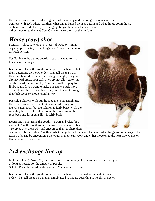themselves as a team: 1 bad - 10 great. Ask them why and encourage them to share their opinions with each other. Ask them what things helped them as a team and what things got in the way of their team work. End by encouraging the youth in their team work and either move on to the next Cow Game or thank them for their efforts.

#### *Horse (cow) shoe*

Materials: Three  $(2*4$  or  $2*6$ ) pieces of wood or similar object approximately 8 feet long each. A rope for the more difficult version.

Set Up: Place the a three boards in such a way to form a horse shoe like object.

Instructions: Have the youth find a spot on the boards. Let them determine their own order. Then tell the team that they simply need to line up according to height, or age or alphabetical order: your call. They are not allowed to step off the boards. You can play "three steps off" or play for limbs again. If you want to make this game a little more difficult take the rope and have the youth thread it through their belt loops or another similar way.

Possible Solution: With out the rope the youth simply use the corners to step across. It takes some adjusting and mental calculations but the solution is fairly basic. With the rope they have to take into account the threading of the rope back and forth but still it is fairly basic.

Debriefing Time: Have the youth sit down and relax for a moment. Ask the youth to rate themselves as a team: 1 bad - 10 great. Ask them why and encourage them to share their



opinions with each other. Ask them what things helped them as a team and what things got in the way of their team work. End by encouraging the youth in their team work and either move on to the next Cow Game or thank them for their efforts.

# *2x4 exchange line up*

Materials: One (2\*4 or 2\*6) piece of wood or similar object approximately 8 feet long or as long as needed for the amount of people. Set Up: Place the board on the ground...Major set up, I know!

Instructions: Have the youth find a spot on the board. Let them determine their own order. Then tell the team that they simply need to line up according to height, or age or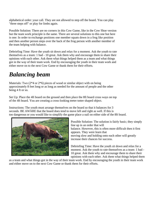alphabetical order: your call. They are not allowed to step off the board. You can play "three steps off" or play for limbs again.

Possible Solution: There are no corners in this Cow Game, like in the Cow Shoe version but the team work principle is the same. There are several solutions to this one but here is one: In order to exchange positions one member squats down in a frog like position and then another person steps over the back of the frog person with another member of the team helping with balance.

Debriefing Time: Have the youth sit down and relax for a moment. Ask the youth to rate themselves as a team: 1 bad - 10 great. Ask them why and encourage them to share their opinions with each other. Ask them what things helped them as a team and what things got in the way of their team work. End by encouraging the youth in their team work and either move on to the next Cow Game or thank them for their efforts.

# *Balancing beam*

Materials: Two (2<sup>\*</sup>4 or 2<sup>\*</sup>6) pieces of wood or similar object with on being approximately 8 feet long or as long as needed for the amount of people and the other being 4 ft or so.

Set Up: Place the 4ft board on the ground and then place the 8ft board cross ways on top of the 4ft board. You are creating a cross-looking teeter totter shaped object.

Instructions: The youth must arrange themselves on the board so that it balances for 3 seconds. BE AWARE that the board does tend to move left and right as well. If this is too dangerous or you would like to simplify the game place a nail on either side of the 8ft board.



Possible Solution: The solution is fairly basic; they simply line up in an order that will balance. However, this is often more difficult then it first appears. They were learn that moving slow and holding onto each other will greatly increase their chances for success.

Debriefing Time: Have the youth sit down and relax for a moment. Ask the youth to rate themselves as a team: 1 bad - 10 great. Ask them why and encourage them to share their opinions with each other. Ask them what things helped them

as a team and what things got in the way of their team work. End by encouraging the youth in their team work and either move on to the next Cow Game or thank them for their efforts.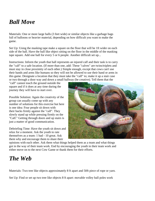### *Ball Move*

Materials: One or more large balls (3 feet wide) or similar objects like a garbage bags full of balloons or heavier material, depending on how difficult you want to make the game.

Set Up: Using the masking tape make a square on the floor that will be 1ft wider on each side of the ball. Have the ball like object sitting on the floor in the middle of the masking tape square. Add one ball for every 5 or 6 people. Another difficult set up...

Instructions: Inform the youth that ball represents an injured calf and their task is to carry the "calf" to a safe location. (If more than one, add: These "calves" are twins/triplets and must stay in close proximity of each other.) Simple enough, except that cows can't use their hands and arms like humans so they will not be allowed to use their hand or arms in this game. Designate a location that they must take the "calf" to; make it up a stair case or two through a door way and down a small hallway (be creative). Tell them that the

"calf" cannot touch the ground outside the square and if it does at any time during the journey they will have to start over.

Possible Solution: Again the creativity of the group can usually come up with any number of solutions for this exercise but here is one idea: Four people sit down with their backs firmly against the "calf". They slowly stand up while pressing firmly on the "Calf." Getting through doors and up stairs is just a matter of good communication.

Debriefing Time: Have the youth sit down and relax for a moment. Ask the youth to rate themselves as a team: 1 bad - 10 great. Ask them why and encourage them to share their



opinions with each other. Ask them what things helped them as a team and what things got in the way of their team work. End by encouraging the youth in their team work and either move on to the next Cow Game or thank them for their efforts.

#### *The Web*

Materials: Two tree like objects approximately 8 ft apart and 50ft piece of rope or yarn.

Set Up: Find or set up two tree like objects 8 ft apart: movable volley ball poles work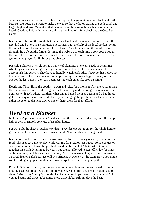or pillars on a shelter house. Then take the rope and begin making a web back and forth between the trees. You want to make the web so that the holes created are both small and large--high and low. Make it so that there are 2 or three more holes than people in the heard. Caution: This activity will need the same kind of safety checks as the Cow Pen Game.

Instructions: Inform the youth that the farmer has found them again and is just over the next hill and be here in 15 minutes. The farmer, with the help of the local spiders, set up this new kind of electric fence as a last defense. Their task is to get the whole team through the web but the farmer designed the web so that each time a cow goes through the hole closes. So each hole can only be used once. The poles are also electrified. This game can be played for limbs or three chances.

Possible Solution: The solution is a matter of planning. The team needs to determine who they can and cannot get through certain holes. It will take the whole team to accomplish this activity. They have to literally watch each other's back so that it does not touch the web. Once they have a few people through the lower bigger holes (note: save one for the last person) they can begin passing each other like crowd surfing.

Debriefing Time: Have the youth sit down and relax for a moment. Ask the youth to rate themselves as a team: 1 bad - 10 great. Ask them why and encourage them to share their opinions with each other. Ask them what things helped them as a team and what things got in the way of their team work. End by encouraging the youth in their team work and either move on to the next Cow Game or thank them for their efforts.

#### *Herd on a Blanket*

Materials: A piece of material (A bed sheet or other material works fine). A fellowship hall or gym or smooth concrete of a shelter house.

Set Up: Fold the sheet in such a way that it provides enough room for the whole herd to get on but not too much extra to move around. Place the sheet on the ground.

Instructions: A herd of cows will move together for two primary reasons; protection and food. This is great game to play while waiting for pizza or just put out some cookies or other similar object. Have the youth all stand on the blanket. Their task is to move together on a path determined by you. They are not allowed to step off. (Play for limbs or three misses; each has its own dynamic). At first a reasonable goal of moving together 15 or 20 feet on a slick surface will be sufficient. However, as the team grows you might want to add going up a few stairs and over carpet. Be creative in your path!

Possible Solution: The key to this game is communication, as it is with most. However, moving as a team requires a uniform movement. Sometimes one person volunteers to shout, "Moo . . .ve" every 5 seconds. The team bunny hops forward on command. When you add stairs and carpet it becomes more difficult but still involves the basic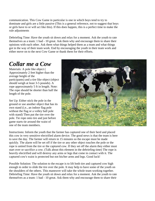communication. This Cow Game in particular is one in which boys tend to try to dominate and girls are a little passive (This is a general reference, not to suggest that boys or girls have to or will act like this). If this does happen, this is a perfect time to make the rule adjustments

Debriefing Time: Have the youth sit down and relax for a moment. Ask the youth to rate themselves as a team: 1 bad - 10 great. Ask them why and encourage them to share their opinions with each other. Ask them what things helped them as a team and what things got in the way of their team work. End by encouraging the youth in their team work and either move on to the next Cow Game or thank them for their efforts.

# *Collar me a Cow*

Materials: A pole like object ( Approximately 2 feet higher than the average height of the participants) and a tire like object (object should weigh at least 3-5 pounds). A rope approximately 5 ft in length. Note: The rope should be shorter than half the length of the pole.

Set Up: Either stick the pole in the ground or use another object that has its own stand (i.e., an indoor flag pole without the flag or a volley ball pole with stand) Then put the tire over the pole. Tie rope onto tire and just before game starts tie around the waist of one of the team members.



Instructions: Inform the youth that the farmer has captured one of their herd and placed this cow in very sensitive electrified alarm device. The good news is that the team is here to save the day. The farmer will return in 15 minutes so the escape must be made quickly. The alarm will be set off if the tire or any other object touches the pole or the rope is untied from the tire or the captured cow. If they set off the alarm they either must start over or sacrifice a cow. (Talk about this element in the debriefing time) The rope is heavily electrified and will destroy any arms or legs that come in contact with it. The captured cow's waist is protected but not his/her arms and legs. Good luck!

Possible Solution: The solution to the escape is to lift both tire and captured cow high enough in order to slide the tire over the pole. It may help to have some of the youth on the shoulders of the others. This maneuver will take the whole team working together. Debriefing Time: Have the youth sit down and relax for a moment. Ask the youth to rate themselves as a team: 1 bad - 10 great. Ask them why and encourage them to share their